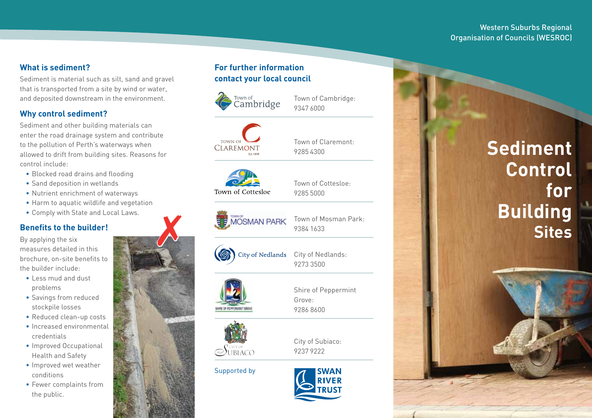#### Western Suburbs Regional Organisation of Councils (WESROC)

#### **What is sediment?**

Sediment is material such as silt, sand and gravel that is transported from a site by wind or water, and deposited downstream in the environment.

#### **Why control sediment?**

Sediment and other building materials can enter the road drainage system and contribute to the pollution of Perth's waterways when allowed to drift from building sites. Reasons for control include:

- Blocked road drains and flooding
- Sand deposition in wetlands
- • Nutrient enrichment of waterways
- Harm to aquatic wildlife and vegetation
- • Comply with State and Local Laws.

## **Benefits to the builder!**

By applying the six measures detailed in this brochure, on-site benefits to the builder include:

- • Less mud and dust problems
- • Savings from reduced stockpile losses
- Reduced clean-up costs
- • Increased environmental credentials
- Improved Occupational Health and Safety
- • Improved wet weather conditions
- Fewer complaints from the public.

## **For further information contact your local council**



Town of Cambridge: 9347 6000



Town of Claremont: 9285 4300

Town of Cottesloe:

9285 5000



Town of Cottesloe



Town of Mosman Park: 9384 1633



 $\lambda$ 

City of Nedlands: 9273 3500



Shire of Peppermint Grove: 9286 8600



 $\bigodot$ UBIACO

Supported by



City of Subiaco: 9237 9222

# **Sediment Control for Building Sites**